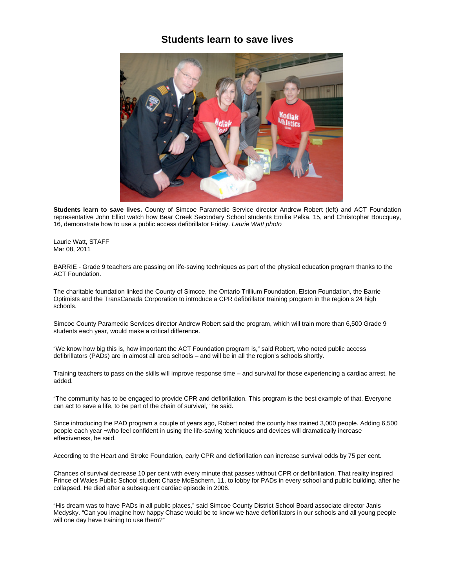## **Students learn to save lives**



**Students learn to save lives.** County of Simcoe Paramedic Service director Andrew Robert (left) and ACT Foundation representative John Elliot watch how Bear Creek Secondary School students Emilie Pelka, 15, and Christopher Boucquey, 16, demonstrate how to use a public access defibrillator Friday. *Laurie Watt photo*

Laurie Watt, STAFF Mar 08, 2011

BARRIE - Grade 9 teachers are passing on life-saving techniques as part of the physical education program thanks to the ACT Foundation.

The charitable foundation linked the County of Simcoe, the Ontario Trillium Foundation, Elston Foundation, the Barrie Optimists and the TransCanada Corporation to introduce a CPR defibrillator training program in the region's 24 high schools.

Simcoe County Paramedic Services director Andrew Robert said the program, which will train more than 6,500 Grade 9 students each year, would make a critical difference.

"We know how big this is, how important the ACT Foundation program is," said Robert, who noted public access defibrillators (PADs) are in almost all area schools – and will be in all the region's schools shortly.

Training teachers to pass on the skills will improve response time – and survival for those experiencing a cardiac arrest, he added.

"The community has to be engaged to provide CPR and defibrillation. This program is the best example of that. Everyone can act to save a life, to be part of the chain of survival," he said.

Since introducing the PAD program a couple of years ago, Robert noted the county has trained 3,000 people. Adding 6,500 people each year ¬who feel confident in using the life-saving techniques and devices will dramatically increase effectiveness, he said.

According to the Heart and Stroke Foundation, early CPR and defibrillation can increase survival odds by 75 per cent.

Chances of survival decrease 10 per cent with every minute that passes without CPR or defibrillation. That reality inspired Prince of Wales Public School student Chase McEachern, 11, to lobby for PADs in every school and public building, after he collapsed. He died after a subsequent cardiac episode in 2006.

"His dream was to have PADs in all public places," said Simcoe County District School Board associate director Janis Medysky. "Can you imagine how happy Chase would be to know we have defibrillators in our schools and all young people will one day have training to use them?"